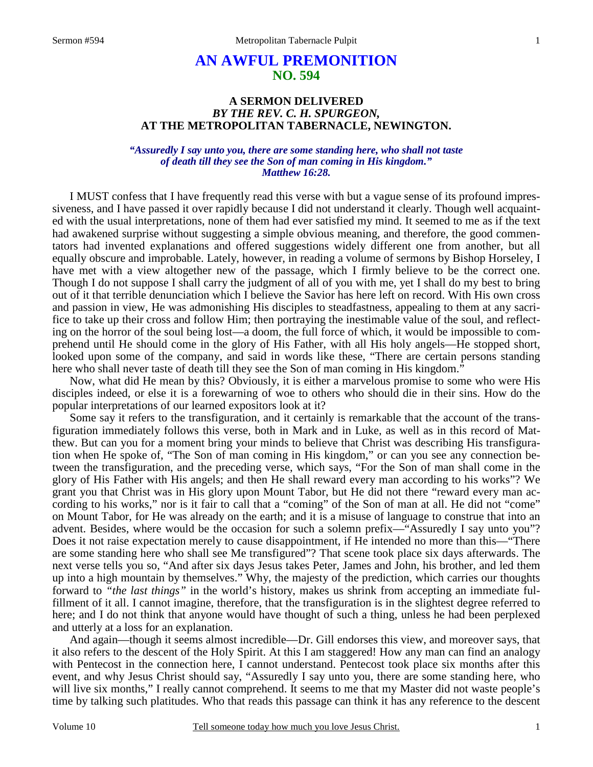# **AN AWFUL PREMONITION NO. 594**

## **A SERMON DELIVERED**  *BY THE REV. C. H. SPURGEON,*  **AT THE METROPOLITAN TABERNACLE, NEWINGTON.**

### *"Assuredly I say unto you, there are some standing here, who shall not taste of death till they see the Son of man coming in His kingdom." Matthew 16:28.*

I MUST confess that I have frequently read this verse with but a vague sense of its profound impressiveness, and I have passed it over rapidly because I did not understand it clearly. Though well acquainted with the usual interpretations, none of them had ever satisfied my mind. It seemed to me as if the text had awakened surprise without suggesting a simple obvious meaning, and therefore, the good commentators had invented explanations and offered suggestions widely different one from another, but all equally obscure and improbable. Lately, however, in reading a volume of sermons by Bishop Horseley, I have met with a view altogether new of the passage, which I firmly believe to be the correct one. Though I do not suppose I shall carry the judgment of all of you with me, yet I shall do my best to bring out of it that terrible denunciation which I believe the Savior has here left on record. With His own cross and passion in view, He was admonishing His disciples to steadfastness, appealing to them at any sacrifice to take up their cross and follow Him; then portraying the inestimable value of the soul, and reflecting on the horror of the soul being lost—a doom, the full force of which, it would be impossible to comprehend until He should come in the glory of His Father, with all His holy angels—He stopped short, looked upon some of the company, and said in words like these, "There are certain persons standing here who shall never taste of death till they see the Son of man coming in His kingdom."

Now, what did He mean by this? Obviously, it is either a marvelous promise to some who were His disciples indeed, or else it is a forewarning of woe to others who should die in their sins. How do the popular interpretations of our learned expositors look at it?

Some say it refers to the transfiguration, and it certainly is remarkable that the account of the transfiguration immediately follows this verse, both in Mark and in Luke, as well as in this record of Matthew. But can you for a moment bring your minds to believe that Christ was describing His transfiguration when He spoke of, "The Son of man coming in His kingdom," or can you see any connection between the transfiguration, and the preceding verse, which says, "For the Son of man shall come in the glory of His Father with His angels; and then He shall reward every man according to his works"? We grant you that Christ was in His glory upon Mount Tabor, but He did not there "reward every man according to his works," nor is it fair to call that a "coming" of the Son of man at all. He did not "come" on Mount Tabor, for He was already on the earth; and it is a misuse of language to construe that into an advent. Besides, where would be the occasion for such a solemn prefix—"Assuredly I say unto you"? Does it not raise expectation merely to cause disappointment, if He intended no more than this—"There are some standing here who shall see Me transfigured"? That scene took place six days afterwards. The next verse tells you so, "And after six days Jesus takes Peter, James and John, his brother, and led them up into a high mountain by themselves." Why, the majesty of the prediction, which carries our thoughts forward to *"the last things"* in the world's history, makes us shrink from accepting an immediate fulfillment of it all. I cannot imagine, therefore, that the transfiguration is in the slightest degree referred to here; and I do not think that anyone would have thought of such a thing, unless he had been perplexed and utterly at a loss for an explanation.

And again—though it seems almost incredible—Dr. Gill endorses this view, and moreover says, that it also refers to the descent of the Holy Spirit. At this I am staggered! How any man can find an analogy with Pentecost in the connection here, I cannot understand. Pentecost took place six months after this event, and why Jesus Christ should say, "Assuredly I say unto you, there are some standing here, who will live six months," I really cannot comprehend. It seems to me that my Master did not waste people's time by talking such platitudes. Who that reads this passage can think it has any reference to the descent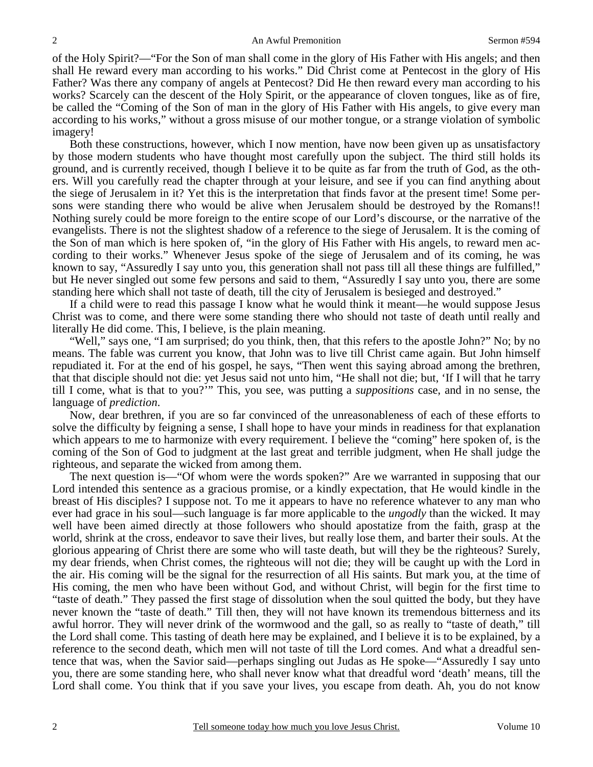of the Holy Spirit?—"For the Son of man shall come in the glory of His Father with His angels; and then shall He reward every man according to his works." Did Christ come at Pentecost in the glory of His Father? Was there any company of angels at Pentecost? Did He then reward every man according to his works? Scarcely can the descent of the Holy Spirit, or the appearance of cloven tongues, like as of fire, be called the "Coming of the Son of man in the glory of His Father with His angels, to give every man according to his works," without a gross misuse of our mother tongue, or a strange violation of symbolic imagery!

Both these constructions, however, which I now mention, have now been given up as unsatisfactory by those modern students who have thought most carefully upon the subject. The third still holds its ground, and is currently received, though I believe it to be quite as far from the truth of God, as the others. Will you carefully read the chapter through at your leisure, and see if you can find anything about the siege of Jerusalem in it? Yet this is the interpretation that finds favor at the present time! Some persons were standing there who would be alive when Jerusalem should be destroyed by the Romans!! Nothing surely could be more foreign to the entire scope of our Lord's discourse, or the narrative of the evangelists. There is not the slightest shadow of a reference to the siege of Jerusalem. It is the coming of the Son of man which is here spoken of, "in the glory of His Father with His angels, to reward men according to their works." Whenever Jesus spoke of the siege of Jerusalem and of its coming, he was known to say, "Assuredly I say unto you, this generation shall not pass till all these things are fulfilled," but He never singled out some few persons and said to them, "Assuredly I say unto you, there are some standing here which shall not taste of death, till the city of Jerusalem is besieged and destroyed."

If a child were to read this passage I know what he would think it meant—he would suppose Jesus Christ was to come, and there were some standing there who should not taste of death until really and literally He did come. This, I believe, is the plain meaning.

"Well," says one, "I am surprised; do you think, then, that this refers to the apostle John?" No; by no means. The fable was current you know, that John was to live till Christ came again. But John himself repudiated it. For at the end of his gospel, he says, "Then went this saying abroad among the brethren, that that disciple should not die: yet Jesus said not unto him, "He shall not die; but, 'If I will that he tarry till I come, what is that to you?'" This, you see, was putting a *suppositions* case, and in no sense, the language of *prediction*.

Now, dear brethren, if you are so far convinced of the unreasonableness of each of these efforts to solve the difficulty by feigning a sense, I shall hope to have your minds in readiness for that explanation which appears to me to harmonize with every requirement. I believe the "coming" here spoken of, is the coming of the Son of God to judgment at the last great and terrible judgment, when He shall judge the righteous, and separate the wicked from among them.

The next question is—"Of whom were the words spoken?" Are we warranted in supposing that our Lord intended this sentence as a gracious promise, or a kindly expectation, that He would kindle in the breast of His disciples? I suppose not. To me it appears to have no reference whatever to any man who ever had grace in his soul—such language is far more applicable to the *ungodly* than the wicked. It may well have been aimed directly at those followers who should apostatize from the faith, grasp at the world, shrink at the cross, endeavor to save their lives, but really lose them, and barter their souls. At the glorious appearing of Christ there are some who will taste death, but will they be the righteous? Surely, my dear friends, when Christ comes, the righteous will not die; they will be caught up with the Lord in the air. His coming will be the signal for the resurrection of all His saints. But mark you, at the time of His coming, the men who have been without God, and without Christ, will begin for the first time to "taste of death." They passed the first stage of dissolution when the soul quitted the body, but they have never known the "taste of death." Till then, they will not have known its tremendous bitterness and its awful horror. They will never drink of the wormwood and the gall, so as really to "taste of death," till the Lord shall come. This tasting of death here may be explained, and I believe it is to be explained, by a reference to the second death, which men will not taste of till the Lord comes. And what a dreadful sentence that was, when the Savior said—perhaps singling out Judas as He spoke—"Assuredly I say unto you, there are some standing here, who shall never know what that dreadful word 'death' means, till the Lord shall come. You think that if you save your lives, you escape from death. Ah, you do not know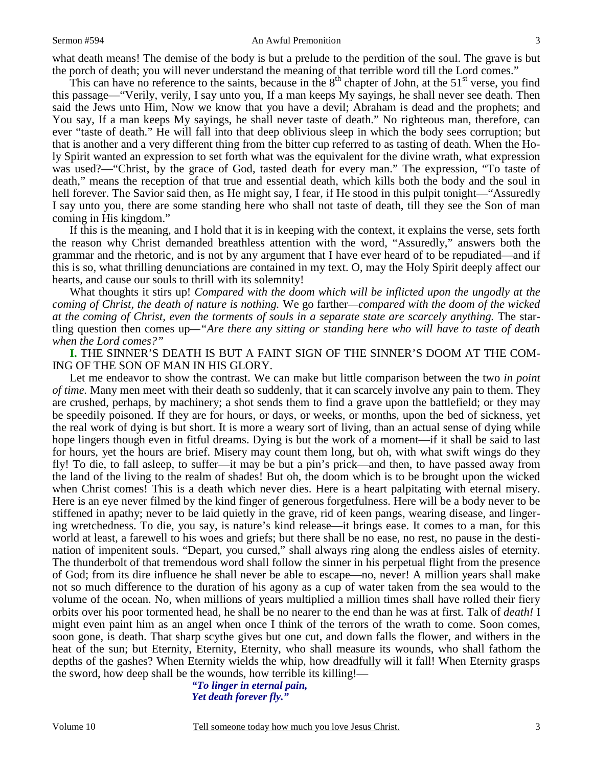### Sermon #594 An Awful Premonition

3

what death means! The demise of the body is but a prelude to the perdition of the soul. The grave is but the porch of death; you will never understand the meaning of that terrible word till the Lord comes."

This can have no reference to the saints, because in the  $8<sup>th</sup>$  chapter of John, at the  $51<sup>st</sup>$  verse, you find this passage—"Verily, verily, I say unto you, If a man keeps My sayings, he shall never see death. Then said the Jews unto Him, Now we know that you have a devil; Abraham is dead and the prophets; and You say, If a man keeps My sayings, he shall never taste of death." No righteous man, therefore, can ever "taste of death." He will fall into that deep oblivious sleep in which the body sees corruption; but that is another and a very different thing from the bitter cup referred to as tasting of death. When the Holy Spirit wanted an expression to set forth what was the equivalent for the divine wrath, what expression was used?—"Christ, by the grace of God, tasted death for every man." The expression, "To taste of death," means the reception of that true and essential death, which kills both the body and the soul in hell forever. The Savior said then, as He might say, I fear, if He stood in this pulpit tonight—"Assuredly I say unto you, there are some standing here who shall not taste of death, till they see the Son of man coming in His kingdom."

If this is the meaning, and I hold that it is in keeping with the context, it explains the verse, sets forth the reason why Christ demanded breathless attention with the word, "Assuredly," answers both the grammar and the rhetoric, and is not by any argument that I have ever heard of to be repudiated—and if this is so, what thrilling denunciations are contained in my text. O, may the Holy Spirit deeply affect our hearts, and cause our souls to thrill with its solemnity!

What thoughts it stirs up! *Compared with the doom which will be inflicted upon the ungodly at the coming of Christ, the death of nature is nothing.* We go farther*—compared with the doom of the wicked at the coming of Christ, even the torments of souls in a separate state are scarcely anything.* The startling question then comes up*—"Are there any sitting or standing here who will have to taste of death when the Lord comes?"* 

**I.** THE SINNER'S DEATH IS BUT A FAINT SIGN OF THE SINNER'S DOOM AT THE COM-ING OF THE SON OF MAN IN HIS GLORY.

Let me endeavor to show the contrast. We can make but little comparison between the two *in point of time.* Many men meet with their death so suddenly, that it can scarcely involve any pain to them. They are crushed, perhaps, by machinery; a shot sends them to find a grave upon the battlefield; or they may be speedily poisoned. If they are for hours, or days, or weeks, or months, upon the bed of sickness, yet the real work of dying is but short. It is more a weary sort of living, than an actual sense of dying while hope lingers though even in fitful dreams. Dying is but the work of a moment—if it shall be said to last for hours, yet the hours are brief. Misery may count them long, but oh, with what swift wings do they fly! To die, to fall asleep, to suffer—it may be but a pin's prick—and then, to have passed away from the land of the living to the realm of shades! But oh, the doom which is to be brought upon the wicked when Christ comes! This is a death which never dies. Here is a heart palpitating with eternal misery. Here is an eye never filmed by the kind finger of generous forgetfulness. Here will be a body never to be stiffened in apathy; never to be laid quietly in the grave, rid of keen pangs, wearing disease, and lingering wretchedness. To die, you say, is nature's kind release—it brings ease. It comes to a man, for this world at least, a farewell to his woes and griefs; but there shall be no ease, no rest, no pause in the destination of impenitent souls. "Depart, you cursed," shall always ring along the endless aisles of eternity. The thunderbolt of that tremendous word shall follow the sinner in his perpetual flight from the presence of God; from its dire influence he shall never be able to escape—no, never! A million years shall make not so much difference to the duration of his agony as a cup of water taken from the sea would to the volume of the ocean. No, when millions of years multiplied a million times shall have rolled their fiery orbits over his poor tormented head, he shall be no nearer to the end than he was at first. Talk of *death!* I might even paint him as an angel when once I think of the terrors of the wrath to come. Soon comes, soon gone, is death. That sharp scythe gives but one cut, and down falls the flower, and withers in the heat of the sun; but Eternity, Eternity, Eternity, who shall measure its wounds, who shall fathom the depths of the gashes? When Eternity wields the whip, how dreadfully will it fall! When Eternity grasps the sword, how deep shall be the wounds, how terrible its killing!—

*"To linger in eternal pain, Yet death forever fly."*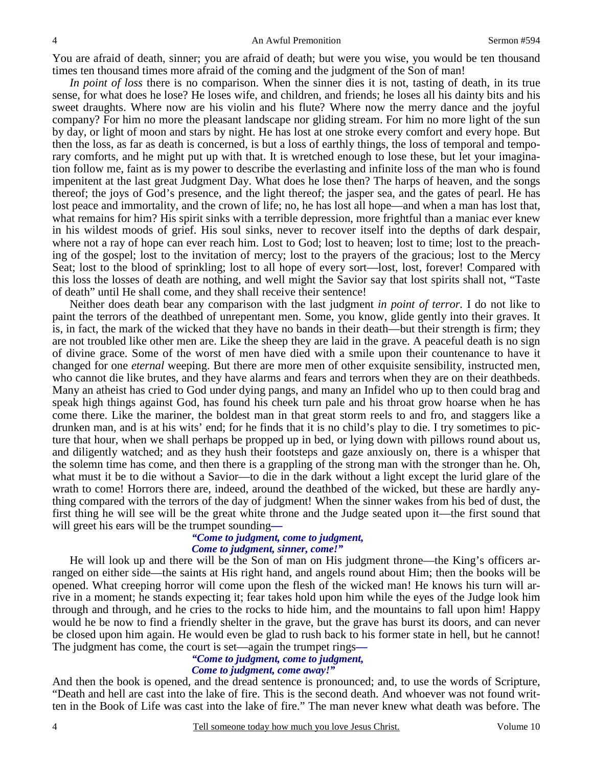You are afraid of death, sinner; you are afraid of death; but were you wise, you would be ten thousand times ten thousand times more afraid of the coming and the judgment of the Son of man!

*In point of loss* there is no comparison. When the sinner dies it is not, tasting of death, in its true sense, for what does he lose? He loses wife, and children, and friends; he loses all his dainty bits and his sweet draughts. Where now are his violin and his flute? Where now the merry dance and the joyful company? For him no more the pleasant landscape nor gliding stream. For him no more light of the sun by day, or light of moon and stars by night. He has lost at one stroke every comfort and every hope. But then the loss, as far as death is concerned, is but a loss of earthly things, the loss of temporal and temporary comforts, and he might put up with that. It is wretched enough to lose these, but let your imagination follow me, faint as is my power to describe the everlasting and infinite loss of the man who is found impenitent at the last great Judgment Day. What does he lose then? The harps of heaven, and the songs thereof; the joys of God's presence, and the light thereof; the jasper sea, and the gates of pearl. He has lost peace and immortality, and the crown of life; no, he has lost all hope—and when a man has lost that, what remains for him? His spirit sinks with a terrible depression, more frightful than a maniac ever knew in his wildest moods of grief. His soul sinks, never to recover itself into the depths of dark despair, where not a ray of hope can ever reach him. Lost to God; lost to heaven; lost to time; lost to the preaching of the gospel; lost to the invitation of mercy; lost to the prayers of the gracious; lost to the Mercy Seat; lost to the blood of sprinkling; lost to all hope of every sort—lost, lost, forever! Compared with this loss the losses of death are nothing, and well might the Savior say that lost spirits shall not, "Taste of death" until He shall come, and they shall receive their sentence!

Neither does death bear any comparison with the last judgment *in point of terror.* I do not like to paint the terrors of the deathbed of unrepentant men. Some, you know, glide gently into their graves. It is, in fact, the mark of the wicked that they have no bands in their death—but their strength is firm; they are not troubled like other men are. Like the sheep they are laid in the grave. A peaceful death is no sign of divine grace. Some of the worst of men have died with a smile upon their countenance to have it changed for one *eternal* weeping. But there are more men of other exquisite sensibility, instructed men, who cannot die like brutes, and they have alarms and fears and terrors when they are on their deathbeds. Many an atheist has cried to God under dying pangs, and many an Infidel who up to then could brag and speak high things against God, has found his cheek turn pale and his throat grow hoarse when he has come there. Like the mariner, the boldest man in that great storm reels to and fro, and staggers like a drunken man, and is at his wits' end; for he finds that it is no child's play to die. I try sometimes to picture that hour, when we shall perhaps be propped up in bed, or lying down with pillows round about us, and diligently watched; and as they hush their footsteps and gaze anxiously on, there is a whisper that the solemn time has come, and then there is a grappling of the strong man with the stronger than he. Oh, what must it be to die without a Savior—to die in the dark without a light except the lurid glare of the wrath to come! Horrors there are, indeed, around the deathbed of the wicked, but these are hardly anything compared with the terrors of the day of judgment! When the sinner wakes from his bed of dust, the first thing he will see will be the great white throne and the Judge seated upon it—the first sound that will greet his ears will be the trumpet sounding*—* 

## *"Come to judgment, come to judgment, Come to judgment, sinner, come!"*

He will look up and there will be the Son of man on His judgment throne—the King's officers arranged on either side—the saints at His right hand, and angels round about Him; then the books will be opened. What creeping horror will come upon the flesh of the wicked man! He knows his turn will arrive in a moment; he stands expecting it; fear takes hold upon him while the eyes of the Judge look him through and through, and he cries to the rocks to hide him, and the mountains to fall upon him! Happy would he be now to find a friendly shelter in the grave, but the grave has burst its doors, and can never be closed upon him again. He would even be glad to rush back to his former state in hell, but he cannot! The judgment has come, the court is set—again the trumpet rings*—* 

# *"Come to judgment, come to judgment,*

*Come to judgment, come away!"* 

And then the book is opened, and the dread sentence is pronounced; and, to use the words of Scripture, "Death and hell are cast into the lake of fire. This is the second death. And whoever was not found written in the Book of Life was cast into the lake of fire." The man never knew what death was before. The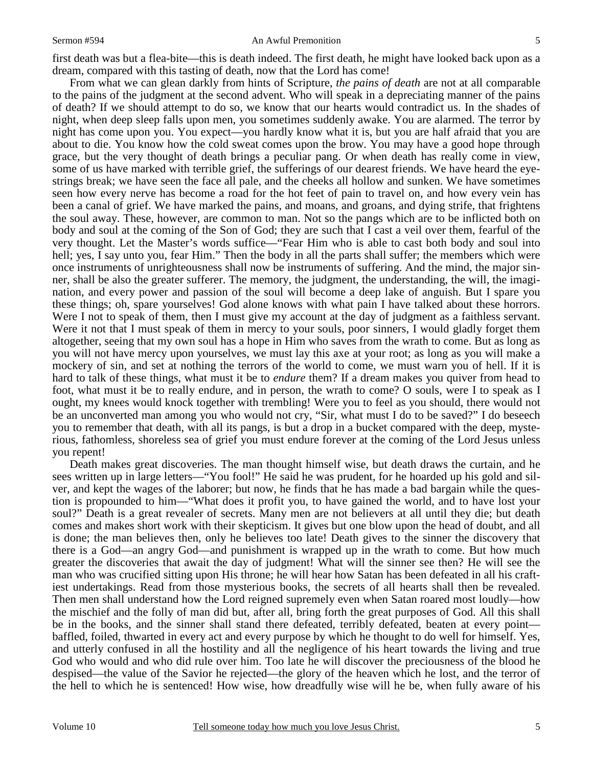### Sermon #594 An Awful Premonition

first death was but a flea-bite—this is death indeed. The first death, he might have looked back upon as a dream, compared with this tasting of death, now that the Lord has come!

From what we can glean darkly from hints of Scripture, *the pains of death* are not at all comparable to the pains of the judgment at the second advent. Who will speak in a depreciating manner of the pains of death? If we should attempt to do so, we know that our hearts would contradict us. In the shades of night, when deep sleep falls upon men, you sometimes suddenly awake. You are alarmed. The terror by night has come upon you. You expect—you hardly know what it is, but you are half afraid that you are about to die. You know how the cold sweat comes upon the brow. You may have a good hope through grace, but the very thought of death brings a peculiar pang. Or when death has really come in view, some of us have marked with terrible grief, the sufferings of our dearest friends. We have heard the eyestrings break; we have seen the face all pale, and the cheeks all hollow and sunken. We have sometimes seen how every nerve has become a road for the hot feet of pain to travel on, and how every vein has been a canal of grief. We have marked the pains, and moans, and groans, and dying strife, that frightens the soul away. These, however, are common to man. Not so the pangs which are to be inflicted both on body and soul at the coming of the Son of God; they are such that I cast a veil over them, fearful of the very thought. Let the Master's words suffice—"Fear Him who is able to cast both body and soul into hell; yes, I say unto you, fear Him." Then the body in all the parts shall suffer; the members which were once instruments of unrighteousness shall now be instruments of suffering. And the mind, the major sinner, shall be also the greater sufferer. The memory, the judgment, the understanding, the will, the imagination, and every power and passion of the soul will become a deep lake of anguish. But I spare you these things; oh, spare yourselves! God alone knows with what pain I have talked about these horrors. Were I not to speak of them, then I must give my account at the day of judgment as a faithless servant. Were it not that I must speak of them in mercy to your souls, poor sinners, I would gladly forget them altogether, seeing that my own soul has a hope in Him who saves from the wrath to come. But as long as you will not have mercy upon yourselves, we must lay this axe at your root; as long as you will make a mockery of sin, and set at nothing the terrors of the world to come, we must warn you of hell. If it is hard to talk of these things, what must it be to *endure* them? If a dream makes you quiver from head to foot, what must it be to really endure, and in person, the wrath to come? O souls, were I to speak as I ought, my knees would knock together with trembling! Were you to feel as you should, there would not be an unconverted man among you who would not cry, "Sir, what must I do to be saved?" I do beseech you to remember that death, with all its pangs, is but a drop in a bucket compared with the deep, mysterious, fathomless, shoreless sea of grief you must endure forever at the coming of the Lord Jesus unless you repent!

Death makes great discoveries. The man thought himself wise, but death draws the curtain, and he sees written up in large letters—"You fool!" He said he was prudent, for he hoarded up his gold and silver, and kept the wages of the laborer; but now, he finds that he has made a bad bargain while the question is propounded to him—"What does it profit you, to have gained the world, and to have lost your soul?" Death is a great revealer of secrets. Many men are not believers at all until they die; but death comes and makes short work with their skepticism. It gives but one blow upon the head of doubt, and all is done; the man believes then, only he believes too late! Death gives to the sinner the discovery that there is a God—an angry God—and punishment is wrapped up in the wrath to come. But how much greater the discoveries that await the day of judgment! What will the sinner see then? He will see the man who was crucified sitting upon His throne; he will hear how Satan has been defeated in all his craftiest undertakings. Read from those mysterious books, the secrets of all hearts shall then be revealed. Then men shall understand how the Lord reigned supremely even when Satan roared most loudly—how the mischief and the folly of man did but, after all, bring forth the great purposes of God. All this shall be in the books, and the sinner shall stand there defeated, terribly defeated, beaten at every point baffled, foiled, thwarted in every act and every purpose by which he thought to do well for himself. Yes, and utterly confused in all the hostility and all the negligence of his heart towards the living and true God who would and who did rule over him. Too late he will discover the preciousness of the blood he despised—the value of the Savior he rejected—the glory of the heaven which he lost, and the terror of the hell to which he is sentenced! How wise, how dreadfully wise will he be, when fully aware of his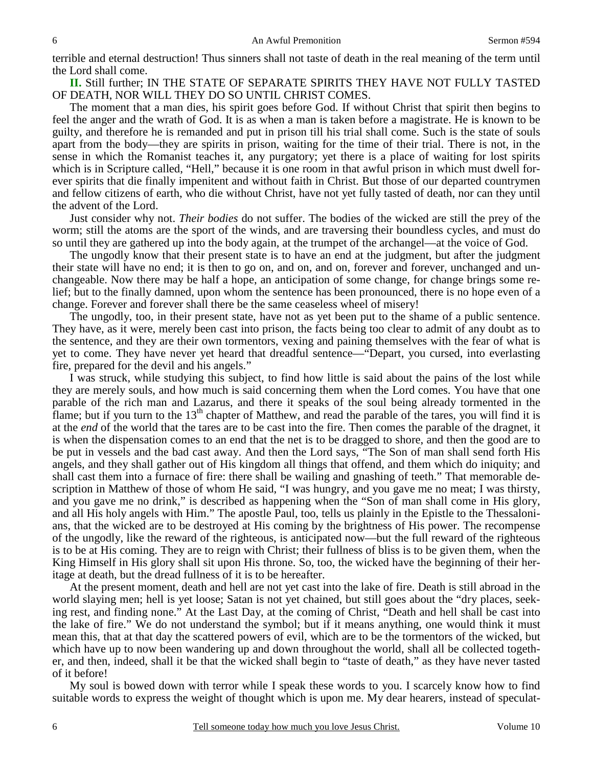terrible and eternal destruction! Thus sinners shall not taste of death in the real meaning of the term until the Lord shall come.

**II.** Still further; IN THE STATE OF SEPARATE SPIRITS THEY HAVE NOT FULLY TASTED OF DEATH, NOR WILL THEY DO SO UNTIL CHRIST COMES.

The moment that a man dies, his spirit goes before God. If without Christ that spirit then begins to feel the anger and the wrath of God. It is as when a man is taken before a magistrate. He is known to be guilty, and therefore he is remanded and put in prison till his trial shall come. Such is the state of souls apart from the body—they are spirits in prison, waiting for the time of their trial. There is not, in the sense in which the Romanist teaches it, any purgatory; yet there is a place of waiting for lost spirits which is in Scripture called, "Hell," because it is one room in that awful prison in which must dwell forever spirits that die finally impenitent and without faith in Christ. But those of our departed countrymen and fellow citizens of earth, who die without Christ, have not yet fully tasted of death, nor can they until the advent of the Lord.

Just consider why not. *Their bodies* do not suffer. The bodies of the wicked are still the prey of the worm; still the atoms are the sport of the winds, and are traversing their boundless cycles, and must do so until they are gathered up into the body again, at the trumpet of the archangel—at the voice of God.

The ungodly know that their present state is to have an end at the judgment, but after the judgment their state will have no end; it is then to go on, and on, and on, forever and forever, unchanged and unchangeable. Now there may be half a hope, an anticipation of some change, for change brings some relief; but to the finally damned, upon whom the sentence has been pronounced, there is no hope even of a change. Forever and forever shall there be the same ceaseless wheel of misery!

The ungodly, too, in their present state, have not as yet been put to the shame of a public sentence. They have, as it were, merely been cast into prison, the facts being too clear to admit of any doubt as to the sentence, and they are their own tormentors, vexing and paining themselves with the fear of what is yet to come. They have never yet heard that dreadful sentence—"Depart, you cursed, into everlasting fire, prepared for the devil and his angels."

I was struck, while studying this subject, to find how little is said about the pains of the lost while they are merely souls, and how much is said concerning them when the Lord comes. You have that one parable of the rich man and Lazarus, and there it speaks of the soul being already tormented in the flame; but if you turn to the  $13<sup>th</sup>$  chapter of Matthew, and read the parable of the tares, you will find it is at the *end* of the world that the tares are to be cast into the fire. Then comes the parable of the dragnet, it is when the dispensation comes to an end that the net is to be dragged to shore, and then the good are to be put in vessels and the bad cast away. And then the Lord says, "The Son of man shall send forth His angels, and they shall gather out of His kingdom all things that offend, and them which do iniquity; and shall cast them into a furnace of fire: there shall be wailing and gnashing of teeth." That memorable description in Matthew of those of whom He said, "I was hungry, and you gave me no meat; I was thirsty, and you gave me no drink," is described as happening when the "Son of man shall come in His glory, and all His holy angels with Him." The apostle Paul, too, tells us plainly in the Epistle to the Thessalonians, that the wicked are to be destroyed at His coming by the brightness of His power. The recompense of the ungodly, like the reward of the righteous, is anticipated now—but the full reward of the righteous is to be at His coming. They are to reign with Christ; their fullness of bliss is to be given them, when the King Himself in His glory shall sit upon His throne. So, too, the wicked have the beginning of their heritage at death, but the dread fullness of it is to be hereafter.

At the present moment, death and hell are not yet cast into the lake of fire. Death is still abroad in the world slaying men; hell is yet loose; Satan is not yet chained, but still goes about the "dry places, seeking rest, and finding none." At the Last Day, at the coming of Christ, "Death and hell shall be cast into the lake of fire." We do not understand the symbol; but if it means anything, one would think it must mean this, that at that day the scattered powers of evil, which are to be the tormentors of the wicked, but which have up to now been wandering up and down throughout the world, shall all be collected together, and then, indeed, shall it be that the wicked shall begin to "taste of death," as they have never tasted of it before!

My soul is bowed down with terror while I speak these words to you. I scarcely know how to find suitable words to express the weight of thought which is upon me. My dear hearers, instead of speculat-

6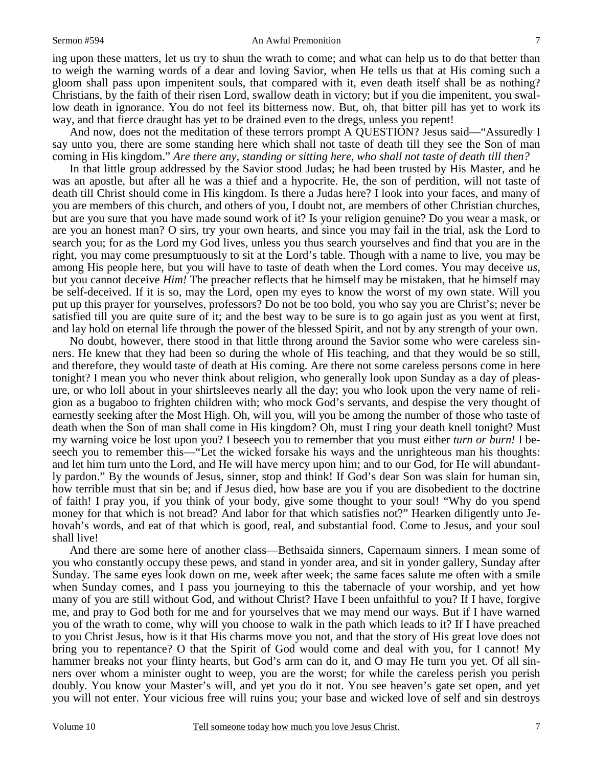#### Sermon #594 An Awful Premonition

ing upon these matters, let us try to shun the wrath to come; and what can help us to do that better than to weigh the warning words of a dear and loving Savior, when He tells us that at His coming such a gloom shall pass upon impenitent souls, that compared with it, even death itself shall be as nothing? Christians, by the faith of their risen Lord, swallow death in victory; but if you die impenitent, you swallow death in ignorance. You do not feel its bitterness now. But, oh, that bitter pill has yet to work its way, and that fierce draught has yet to be drained even to the dregs, unless you repent!

And now, does not the meditation of these terrors prompt A QUESTION? Jesus said—"Assuredly I say unto you, there are some standing here which shall not taste of death till they see the Son of man coming in His kingdom." *Are there any, standing or sitting here, who shall not taste of death till then?* 

In that little group addressed by the Savior stood Judas; he had been trusted by His Master, and he was an apostle, but after all he was a thief and a hypocrite. He, the son of perdition, will not taste of death till Christ should come in His kingdom. Is there a Judas here? I look into your faces, and many of you are members of this church, and others of you, I doubt not, are members of other Christian churches, but are you sure that you have made sound work of it? Is your religion genuine? Do you wear a mask, or are you an honest man? O sirs, try your own hearts, and since you may fail in the trial, ask the Lord to search you; for as the Lord my God lives, unless you thus search yourselves and find that you are in the right, you may come presumptuously to sit at the Lord's table. Though with a name to live, you may be among His people here, but you will have to taste of death when the Lord comes. You may deceive *us,* but you cannot deceive *Him!* The preacher reflects that he himself may be mistaken, that he himself may be self-deceived. If it is so, may the Lord, open my eyes to know the worst of my own state. Will you put up this prayer for yourselves, professors? Do not be too bold, you who say you are Christ's; never be satisfied till you are quite sure of it; and the best way to be sure is to go again just as you went at first, and lay hold on eternal life through the power of the blessed Spirit, and not by any strength of your own.

No doubt, however, there stood in that little throng around the Savior some who were careless sinners. He knew that they had been so during the whole of His teaching, and that they would be so still, and therefore, they would taste of death at His coming. Are there not some careless persons come in here tonight? I mean you who never think about religion, who generally look upon Sunday as a day of pleasure, or who loll about in your shirtsleeves nearly all the day; you who look upon the very name of religion as a bugaboo to frighten children with; who mock God's servants, and despise the very thought of earnestly seeking after the Most High. Oh, will you, will you be among the number of those who taste of death when the Son of man shall come in His kingdom? Oh, must I ring your death knell tonight? Must my warning voice be lost upon you? I beseech you to remember that you must either *turn or burn!* I beseech you to remember this—"Let the wicked forsake his ways and the unrighteous man his thoughts: and let him turn unto the Lord, and He will have mercy upon him; and to our God, for He will abundantly pardon." By the wounds of Jesus, sinner, stop and think! If God's dear Son was slain for human sin, how terrible must that sin be; and if Jesus died, how base are you if you are disobedient to the doctrine of faith! I pray you, if you think of your body, give some thought to your soul! "Why do you spend money for that which is not bread? And labor for that which satisfies not?" Hearken diligently unto Jehovah's words, and eat of that which is good, real, and substantial food. Come to Jesus, and your soul shall live!

And there are some here of another class—Bethsaida sinners, Capernaum sinners. I mean some of you who constantly occupy these pews, and stand in yonder area, and sit in yonder gallery, Sunday after Sunday. The same eyes look down on me, week after week; the same faces salute me often with a smile when Sunday comes, and I pass you journeying to this the tabernacle of your worship, and yet how many of you are still without God, and without Christ? Have I been unfaithful to you? If I have, forgive me, and pray to God both for me and for yourselves that we may mend our ways. But if I have warned you of the wrath to come, why will you choose to walk in the path which leads to it? If I have preached to you Christ Jesus, how is it that His charms move you not, and that the story of His great love does not bring you to repentance? O that the Spirit of God would come and deal with you, for I cannot! My hammer breaks not your flinty hearts, but God's arm can do it, and O may He turn you yet. Of all sinners over whom a minister ought to weep, you are the worst; for while the careless perish you perish doubly. You know your Master's will, and yet you do it not. You see heaven's gate set open, and yet you will not enter. Your vicious free will ruins you; your base and wicked love of self and sin destroys